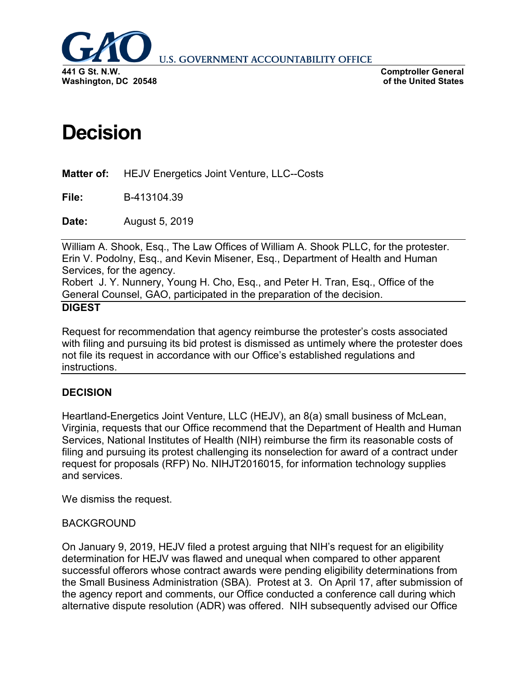

**U.S. GOVERNMENT ACCOUNTABILITY OFFICE** 

**Comptroller General of the United States**

# **Decision**

**Matter of:** HEJV Energetics Joint Venture, LLC--Costs

**File:** B-413104.39

**Date:** August 5, 2019

William A. Shook, Esq., The Law Offices of William A. Shook PLLC, for the protester. Erin V. Podolny, Esq., and Kevin Misener, Esq., Department of Health and Human Services, for the agency.

Robert J. Y. Nunnery, Young H. Cho, Esq., and Peter H. Tran, Esq., Office of the General Counsel, GAO, participated in the preparation of the decision.

### **DIGEST**

Request for recommendation that agency reimburse the protester's costs associated with filing and pursuing its bid protest is dismissed as untimely where the protester does not file its request in accordance with our Office's established regulations and instructions.

# **DECISION**

Heartland-Energetics Joint Venture, LLC (HEJV), an 8(a) small business of McLean, Virginia, requests that our Office recommend that the Department of Health and Human Services, National Institutes of Health (NIH) reimburse the firm its reasonable costs of filing and pursuing its protest challenging its nonselection for award of a contract under request for proposals (RFP) No. NIHJT2016015, for information technology supplies and services.

We dismiss the request.

# BACKGROUND

On January 9, 2019, HEJV filed a protest arguing that NIH's request for an eligibility determination for HEJV was flawed and unequal when compared to other apparent successful offerors whose contract awards were pending eligibility determinations from the Small Business Administration (SBA). Protest at 3. On April 17, after submission of the agency report and comments, our Office conducted a conference call during which alternative dispute resolution (ADR) was offered. NIH subsequently advised our Office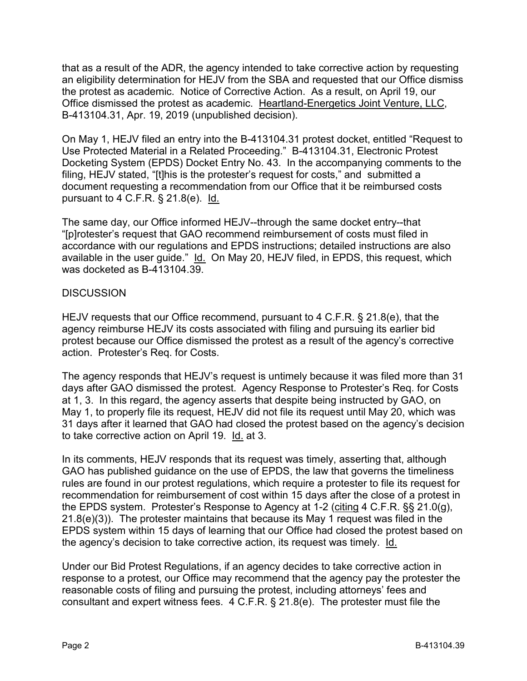that as a result of the ADR, the agency intended to take corrective action by requesting an eligibility determination for HEJV from the SBA and requested that our Office dismiss the protest as academic. Notice of Corrective Action. As a result, on April 19, our Office dismissed the protest as academic. Heartland-Energetics Joint Venture, LLC, B-413104.31, Apr. 19, 2019 (unpublished decision).

On May 1, HEJV filed an entry into the B-413104.31 protest docket, entitled "Request to Use Protected Material in a Related Proceeding." B-413104.31, Electronic Protest Docketing System (EPDS) Docket Entry No. 43. In the accompanying comments to the filing, HEJV stated, "[t]his is the protester's request for costs," and submitted a document requesting a recommendation from our Office that it be reimbursed costs pursuant to 4 C.F.R. § 21.8(e). Id.

The same day, our Office informed HEJV--through the same docket entry--that "[p]rotester's request that GAO recommend reimbursement of costs must filed in accordance with our regulations and EPDS instructions; detailed instructions are also available in the user guide." Id. On May 20, HEJV filed, in EPDS, this request, which was docketed as B-413104.39.

### **DISCUSSION**

HEJV requests that our Office recommend, pursuant to 4 C.F.R. § 21.8(e), that the agency reimburse HEJV its costs associated with filing and pursuing its earlier bid protest because our Office dismissed the protest as a result of the agency's corrective action. Protester's Req. for Costs.

The agency responds that HEJV's request is untimely because it was filed more than 31 days after GAO dismissed the protest. Agency Response to Protester's Req. for Costs at 1, 3. In this regard, the agency asserts that despite being instructed by GAO, on May 1, to properly file its request, HEJV did not file its request until May 20, which was 31 days after it learned that GAO had closed the protest based on the agency's decision to take corrective action on April 19. Id. at 3.

In its comments, HEJV responds that its request was timely, asserting that, although GAO has published guidance on the use of EPDS, the law that governs the timeliness rules are found in our protest regulations, which require a protester to file its request for recommendation for reimbursement of cost within 15 days after the close of a protest in the EPDS system. Protester's Response to Agency at 1-2 (citing 4 C.F.R. §§ 21.0(g), 21.8(e)(3)). The protester maintains that because its May 1 request was filed in the EPDS system within 15 days of learning that our Office had closed the protest based on the agency's decision to take corrective action, its request was timely. Id.

Under our Bid Protest Regulations, if an agency decides to take corrective action in response to a protest, our Office may recommend that the agency pay the protester the reasonable costs of filing and pursuing the protest, including attorneys' fees and consultant and expert witness fees. 4 C.F.R. § 21.8(e). The protester must file the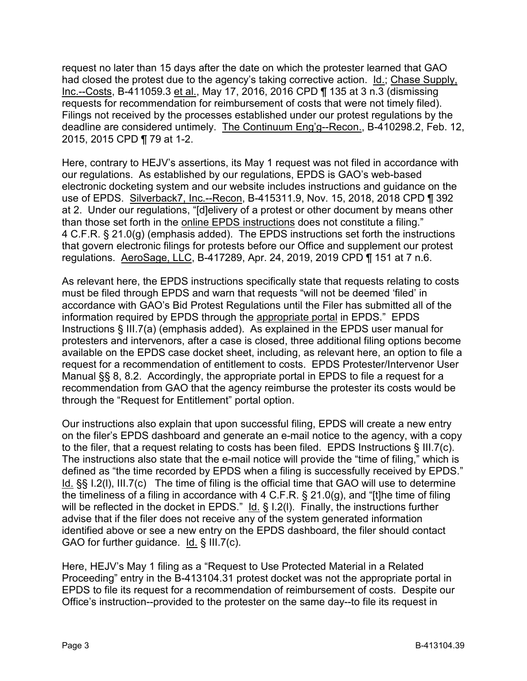request no later than 15 days after the date on which the protester learned that GAO had closed the protest due to the agency's taking corrective action. Id.; Chase Supply, Inc.--Costs, B-411059.3 et al., May 17, 2016, 2016 CPD ¶ 135 at 3 n.3 (dismissing requests for recommendation for reimbursement of costs that were not timely filed). Filings not received by the processes established under our protest regulations by the deadline are considered untimely. The Continuum Eng'g--Recon., B-410298.2, Feb. 12, 2015, 2015 CPD ¶ 79 at 1-2.

Here, contrary to HEJV's assertions, its May 1 request was not filed in accordance with our regulations. As established by our regulations, EPDS is GAO's web-based electronic docketing system and our website includes instructions and guidance on the use of EPDS. Silverback7, Inc.--Recon, B-415311.9, Nov. 15, 2018, 2018 CPD ¶ 392 at 2. Under our regulations, "[d]elivery of a protest or other document by means other than those set forth in the online EPDS instructions does not constitute a filing." 4 C.F.R. § 21.0(g) (emphasis added). The EPDS instructions set forth the instructions that govern electronic filings for protests before our Office and supplement our protest regulations. AeroSage, LLC, B-417289, Apr. 24, 2019, 2019 CPD ¶ 151 at 7 n.6.

As relevant here, the EPDS instructions specifically state that requests relating to costs must be filed through EPDS and warn that requests "will not be deemed 'filed' in accordance with GAO's Bid Protest Regulations until the Filer has submitted all of the information required by EPDS through the appropriate portal in EPDS." EPDS Instructions § III.7(a) (emphasis added). As explained in the EPDS user manual for protesters and intervenors, after a case is closed, three additional filing options become available on the EPDS case docket sheet, including, as relevant here, an option to file a request for a recommendation of entitlement to costs. EPDS Protester/Intervenor User Manual §§ 8, 8.2. Accordingly, the appropriate portal in EPDS to file a request for a recommendation from GAO that the agency reimburse the protester its costs would be through the "Request for Entitlement" portal option.

Our instructions also explain that upon successful filing, EPDS will create a new entry on the filer's EPDS dashboard and generate an e-mail notice to the agency, with a copy to the filer, that a request relating to costs has been filed. EPDS Instructions § III.7(c). The instructions also state that the e-mail notice will provide the "time of filing," which is defined as "the time recorded by EPDS when a filing is successfully received by EPDS." Id. §§ I.2(l), III.7(c) The time of filing is the official time that GAO will use to determine the timeliness of a filing in accordance with 4 C.F.R. § 21.0(g), and "[t]he time of filing will be reflected in the docket in EPDS." Id. § I.2(I). Finally, the instructions further advise that if the filer does not receive any of the system generated information identified above or see a new entry on the EPDS dashboard, the filer should contact GAO for further guidance.  $Id. \S III.7(c)$ .

Here, HEJV's May 1 filing as a "Request to Use Protected Material in a Related Proceeding" entry in the B-413104.31 protest docket was not the appropriate portal in EPDS to file its request for a recommendation of reimbursement of costs. Despite our Office's instruction--provided to the protester on the same day--to file its request in